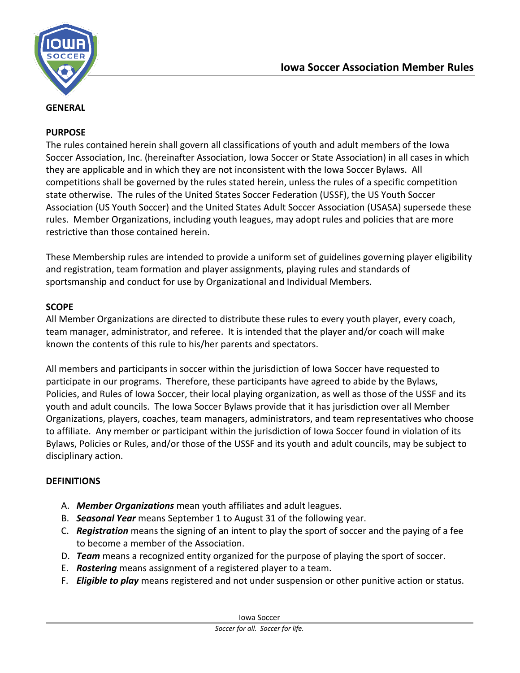

#### **PURPOSE**

The rules contained herein shall govern all classifications of youth and adult members of the Iowa Soccer Association, Inc. (hereinafter Association, Iowa Soccer or State Association) in all cases in which they are applicable and in which they are not inconsistent with the Iowa Soccer Bylaws. All competitions shall be governed by the rules stated herein, unless the rules of a specific competition state otherwise. The rules of the United States Soccer Federation (USSF), the US Youth Soccer Association (US Youth Soccer) and the United States Adult Soccer Association (USASA) supersede these rules. Member Organizations, including youth leagues, may adopt rules and policies that are more restrictive than those contained herein.

These Membership rules are intended to provide a uniform set of guidelines governing player eligibility and registration, team formation and player assignments, playing rules and standards of sportsmanship and conduct for use by Organizational and Individual Members.

## **SCOPE**

All Member Organizations are directed to distribute these rules to every youth player, every coach, team manager, administrator, and referee. It is intended that the player and/or coach will make known the contents of this rule to his/her parents and spectators.

All members and participants in soccer within the jurisdiction of Iowa Soccer have requested to participate in our programs. Therefore, these participants have agreed to abide by the Bylaws, Policies, and Rules of Iowa Soccer, their local playing organization, as well as those of the USSF and its youth and adult councils. The Iowa Soccer Bylaws provide that it has jurisdiction over all Member Organizations, players, coaches, team managers, administrators, and team representatives who choose to affiliate. Any member or participant within the jurisdiction of Iowa Soccer found in violation of its Bylaws, Policies or Rules, and/or those of the USSF and its youth and adult councils, may be subject to disciplinary action.

#### **DEFINITIONS**

- A. *Member Organizations* mean youth affiliates and adult leagues.
- B. *Seasonal Year* means September 1 to August 31 of the following year.
- C. *Registration* means the signing of an intent to play the sport of soccer and the paying of a fee to become a member of the Association.
- D. *Team* means a recognized entity organized for the purpose of playing the sport of soccer.
- E. *Rostering* means assignment of a registered player to a team.
- F. *Eligible to play* means registered and not under suspension or other punitive action or status.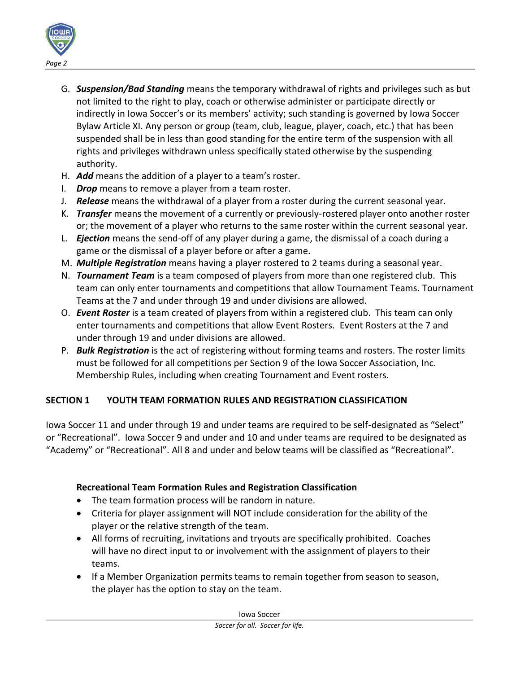

- G. *Suspension/Bad Standing* means the temporary withdrawal of rights and privileges such as but not limited to the right to play, coach or otherwise administer or participate directly or indirectly in Iowa Soccer's or its members' activity; such standing is governed by Iowa Soccer Bylaw Article XI. Any person or group (team, club, league, player, coach, etc.) that has been suspended shall be in less than good standing for the entire term of the suspension with all rights and privileges withdrawn unless specifically stated otherwise by the suspending authority.
- H. *Add* means the addition of a player to a team's roster.
- I. *Drop* means to remove a player from a team roster.
- J. *Release* means the withdrawal of a player from a roster during the current seasonal year.
- K. *Transfer* means the movement of a currently or previously-rostered player onto another roster or; the movement of a player who returns to the same roster within the current seasonal year.
- L. *Ejection* means the send-off of any player during a game, the dismissal of a coach during a game or the dismissal of a player before or after a game.
- M. *Multiple Registration* means having a player rostered to 2 teams during a seasonal year.
- N. *Tournament Team* is a team composed of players from more than one registered club. This team can only enter tournaments and competitions that allow Tournament Teams. Tournament Teams at the 7 and under through 19 and under divisions are allowed.
- O. *Event Roster* is a team created of players from within a registered club. This team can only enter tournaments and competitions that allow Event Rosters. Event Rosters at the 7 and under through 19 and under divisions are allowed.
- P. *Bulk Registration* is the act of registering without forming teams and rosters. The roster limits must be followed for all competitions per Section 9 of the Iowa Soccer Association, Inc. Membership Rules, including when creating Tournament and Event rosters.

## **SECTION 1 YOUTH TEAM FORMATION RULES AND REGISTRATION CLASSIFICATION**

Iowa Soccer 11 and under through 19 and under teams are required to be self-designated as "Select" or "Recreational". Iowa Soccer 9 and under and 10 and under teams are required to be designated as "Academy" or "Recreational". All 8 and under and below teams will be classified as "Recreational".

## **Recreational Team Formation Rules and Registration Classification**

- The team formation process will be random in nature.
- Criteria for player assignment will NOT include consideration for the ability of the player or the relative strength of the team.
- All forms of recruiting, invitations and tryouts are specifically prohibited. Coaches will have no direct input to or involvement with the assignment of players to their teams.
- If a Member Organization permits teams to remain together from season to season, the player has the option to stay on the team.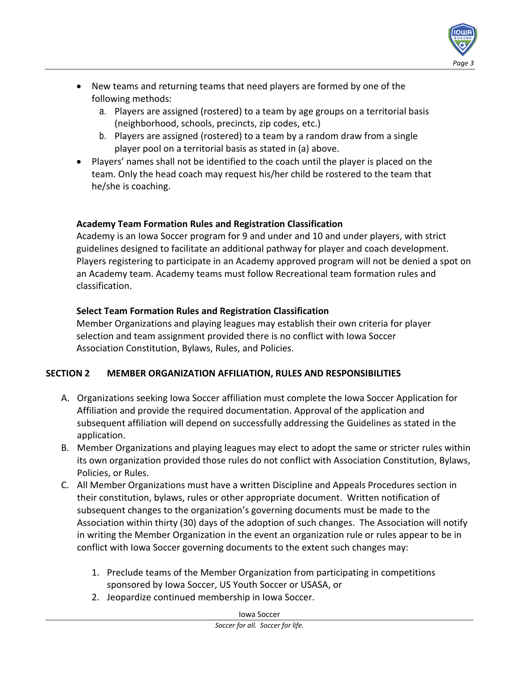

- New teams and returning teams that need players are formed by one of the following methods:
	- a. Players are assigned (rostered) to a team by age groups on a territorial basis (neighborhood, schools, precincts, zip codes, etc.)
	- b. Players are assigned (rostered) to a team by a random draw from a single player pool on a territorial basis as stated in (a) above.
- Players' names shall not be identified to the coach until the player is placed on the team. Only the head coach may request his/her child be rostered to the team that he/she is coaching.

## **Academy Team Formation Rules and Registration Classification**

Academy is an Iowa Soccer program for 9 and under and 10 and under players, with strict guidelines designed to facilitate an additional pathway for player and coach development. Players registering to participate in an Academy approved program will not be denied a spot on an Academy team. Academy teams must follow Recreational team formation rules and classification.

## **Select Team Formation Rules and Registration Classification**

Member Organizations and playing leagues may establish their own criteria for player selection and team assignment provided there is no conflict with Iowa Soccer Association Constitution, Bylaws, Rules, and Policies.

# **SECTION 2 MEMBER ORGANIZATION AFFILIATION, RULES AND RESPONSIBILITIES**

- A. Organizations seeking Iowa Soccer affiliation must complete the Iowa Soccer Application for Affiliation and provide the required documentation. Approval of the application and subsequent affiliation will depend on successfully addressing the Guidelines as stated in the application.
- B. Member Organizations and playing leagues may elect to adopt the same or stricter rules within its own organization provided those rules do not conflict with Association Constitution, Bylaws, Policies, or Rules.
- C. All Member Organizations must have a written Discipline and Appeals Procedures section in their constitution, bylaws, rules or other appropriate document. Written notification of subsequent changes to the organization's governing documents must be made to the Association within thirty (30) days of the adoption of such changes. The Association will notify in writing the Member Organization in the event an organization rule or rules appear to be in conflict with Iowa Soccer governing documents to the extent such changes may:
	- 1. Preclude teams of the Member Organization from participating in competitions sponsored by Iowa Soccer, US Youth Soccer or USASA, or
	- 2. Jeopardize continued membership in Iowa Soccer.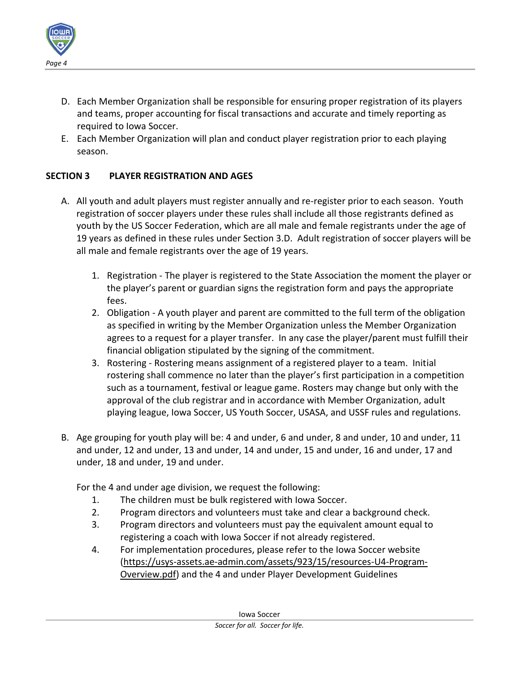

- D. Each Member Organization shall be responsible for ensuring proper registration of its players and teams, proper accounting for fiscal transactions and accurate and timely reporting as required to Iowa Soccer.
- E. Each Member Organization will plan and conduct player registration prior to each playing season.

## **SECTION 3 PLAYER REGISTRATION AND AGES**

- A. All youth and adult players must register annually and re-register prior to each season. Youth registration of soccer players under these rules shall include all those registrants defined as youth by the US Soccer Federation, which are all male and female registrants under the age of 19 years as defined in these rules under Section 3.D. Adult registration of soccer players will be all male and female registrants over the age of 19 years.
	- 1. Registration The player is registered to the State Association the moment the player or the player's parent or guardian signs the registration form and pays the appropriate fees.
	- 2. Obligation A youth player and parent are committed to the full term of the obligation as specified in writing by the Member Organization unless the Member Organization agrees to a request for a player transfer. In any case the player/parent must fulfill their financial obligation stipulated by the signing of the commitment.
	- 3. Rostering Rostering means assignment of a registered player to a team. Initial rostering shall commence no later than the player's first participation in a competition such as a tournament, festival or league game. Rosters may change but only with the approval of the club registrar and in accordance with Member Organization, adult playing league, Iowa Soccer, US Youth Soccer, USASA, and USSF rules and regulations.
- B. Age grouping for youth play will be: 4 and under, 6 and under, 8 and under, 10 and under, 11 and under, 12 and under, 13 and under, 14 and under, 15 and under, 16 and under, 17 and under, 18 and under, 19 and under.

For the 4 and under age division, we request the following:

- 1. The children must be bulk registered with Iowa Soccer.
- 2. Program directors and volunteers must take and clear a background check.
- 3. Program directors and volunteers must pay the equivalent amount equal to registering a coach with Iowa Soccer if not already registered.
- 4. For implementation procedures, please refer to the Iowa Soccer website [\(https://usys-assets.ae-admin.com/assets/923/15/resources-U4-Program-](https://usys-assets.ae-admin.com/assets/923/15/resources-U4-Program-Overview.pdf)[Overview.pdf\)](https://usys-assets.ae-admin.com/assets/923/15/resources-U4-Program-Overview.pdf) and the 4 and under Player Development Guidelines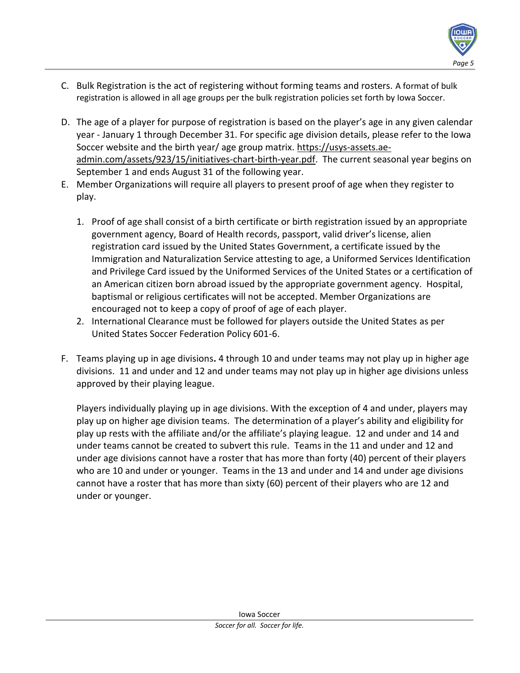- C. Bulk Registration is the act of registering without forming teams and rosters. A format of bulk registration is allowed in all age groups per the bulk registration policies set forth by Iowa Soccer.
- D. The age of a player for purpose of registration is based on the player's age in any given calendar year - January 1 through December 31. For specific age division details, please refer to the Iowa Soccer website and the birth year/ age group matrix. [https://usys-assets.ae](https://usys-assets.ae-admin.com/assets/923/15/initiatives-chart-birth-year.pdf)[admin.com/assets/923/15/initiatives-chart-birth-year.pdf.](https://usys-assets.ae-admin.com/assets/923/15/initiatives-chart-birth-year.pdf) The current seasonal year begins on September 1 and ends August 31 of the following year.
- E. Member Organizations will require all players to present proof of age when they register to play.
	- 1. Proof of age shall consist of a birth certificate or birth registration issued by an appropriate government agency, Board of Health records, passport, valid driver's license, alien registration card issued by the United States Government, a certificate issued by the Immigration and Naturalization Service attesting to age, a Uniformed Services Identification and Privilege Card issued by the Uniformed Services of the United States or a certification of an American citizen born abroad issued by the appropriate government agency. Hospital, baptismal or religious certificates will not be accepted. Member Organizations are encouraged not to keep a copy of proof of age of each player.
	- 2. International Clearance must be followed for players outside the United States as per United States Soccer Federation Policy 601-6.
- F. Teams playing up in age divisions**.** 4 through 10 and under teams may not play up in higher age divisions. 11 and under and 12 and under teams may not play up in higher age divisions unless approved by their playing league.

Players individually playing up in age divisions. With the exception of 4 and under, players may play up on higher age division teams. The determination of a player's ability and eligibility for play up rests with the affiliate and/or the affiliate's playing league. 12 and under and 14 and under teams cannot be created to subvert this rule. Teams in the 11 and under and 12 and under age divisions cannot have a roster that has more than forty (40) percent of their players who are 10 and under or younger. Teams in the 13 and under and 14 and under age divisions cannot have a roster that has more than sixty (60) percent of their players who are 12 and under or younger.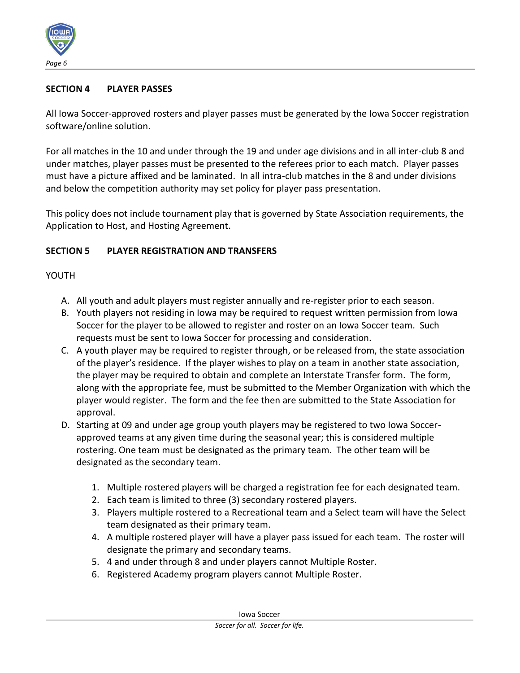

#### **SECTION 4 PLAYER PASSES**

All Iowa Soccer-approved rosters and player passes must be generated by the Iowa Soccer registration software/online solution.

For all matches in the 10 and under through the 19 and under age divisions and in all inter-club 8 and under matches, player passes must be presented to the referees prior to each match. Player passes must have a picture affixed and be laminated. In all intra-club matches in the 8 and under divisions and below the competition authority may set policy for player pass presentation.

This policy does not include tournament play that is governed by State Association requirements, the Application to Host, and Hosting Agreement.

#### **SECTION 5 PLAYER REGISTRATION AND TRANSFERS**

#### YOUTH

- A. All youth and adult players must register annually and re-register prior to each season.
- B. Youth players not residing in Iowa may be required to request written permission from Iowa Soccer for the player to be allowed to register and roster on an Iowa Soccer team. Such requests must be sent to Iowa Soccer for processing and consideration.
- C. A youth player may be required to register through, or be released from, the state association of the player's residence. If the player wishes to play on a team in another state association, the player may be required to obtain and complete an Interstate Transfer form. The form, along with the appropriate fee, must be submitted to the Member Organization with which the player would register. The form and the fee then are submitted to the State Association for approval.
- D. Starting at 09 and under age group youth players may be registered to two Iowa Soccerapproved teams at any given time during the seasonal year; this is considered multiple rostering. One team must be designated as the primary team. The other team will be designated as the secondary team.
	- 1. Multiple rostered players will be charged a registration fee for each designated team.
	- 2. Each team is limited to three (3) secondary rostered players.
	- 3. Players multiple rostered to a Recreational team and a Select team will have the Select team designated as their primary team.
	- 4. A multiple rostered player will have a player pass issued for each team. The roster will designate the primary and secondary teams.
	- 5. 4 and under through 8 and under players cannot Multiple Roster.
	- 6. Registered Academy program players cannot Multiple Roster.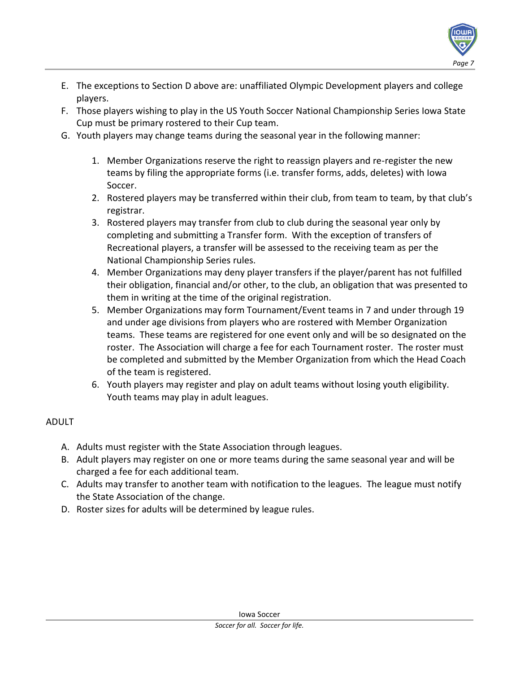

- E. The exceptions to Section D above are: unaffiliated Olympic Development players and college players.
- F. Those players wishing to play in the US Youth Soccer National Championship Series Iowa State Cup must be primary rostered to their Cup team.
- G. Youth players may change teams during the seasonal year in the following manner:
	- 1. Member Organizations reserve the right to reassign players and re-register the new teams by filing the appropriate forms (i.e. transfer forms, adds, deletes) with Iowa Soccer.
	- 2. Rostered players may be transferred within their club, from team to team, by that club's registrar.
	- 3. Rostered players may transfer from club to club during the seasonal year only by completing and submitting a Transfer form. With the exception of transfers of Recreational players, a transfer will be assessed to the receiving team as per the National Championship Series rules.
	- 4. Member Organizations may deny player transfers if the player/parent has not fulfilled their obligation, financial and/or other, to the club, an obligation that was presented to them in writing at the time of the original registration.
	- 5. Member Organizations may form Tournament/Event teams in 7 and under through 19 and under age divisions from players who are rostered with Member Organization teams. These teams are registered for one event only and will be so designated on the roster. The Association will charge a fee for each Tournament roster. The roster must be completed and submitted by the Member Organization from which the Head Coach of the team is registered.
	- 6. Youth players may register and play on adult teams without losing youth eligibility. Youth teams may play in adult leagues.

## ADULT

- A. Adults must register with the State Association through leagues.
- B. Adult players may register on one or more teams during the same seasonal year and will be charged a fee for each additional team.
- C. Adults may transfer to another team with notification to the leagues. The league must notify the State Association of the change.
- D. Roster sizes for adults will be determined by league rules.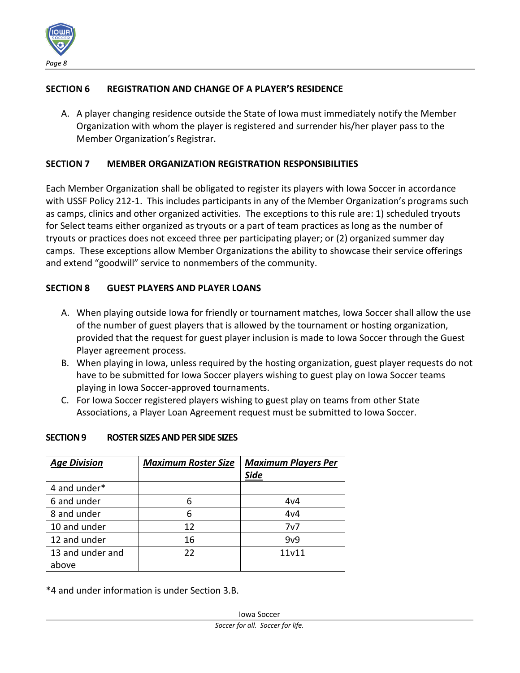

#### **SECTION 6 REGISTRATION AND CHANGE OF A PLAYER'S RESIDENCE**

A. A player changing residence outside the State of Iowa must immediately notify the Member Organization with whom the player is registered and surrender his/her player pass to the Member Organization's Registrar.

#### **SECTION 7 MEMBER ORGANIZATION REGISTRATION RESPONSIBILITIES**

Each Member Organization shall be obligated to register its players with Iowa Soccer in accordance with USSF Policy 212-1. This includes participants in any of the Member Organization's programs such as camps, clinics and other organized activities. The exceptions to this rule are: 1) scheduled tryouts for Select teams either organized as tryouts or a part of team practices as long as the number of tryouts or practices does not exceed three per participating player; or (2) organized summer day camps. These exceptions allow Member Organizations the ability to showcase their service offerings and extend "goodwill" service to nonmembers of the community.

#### **SECTION 8 GUEST PLAYERS AND PLAYER LOANS**

- A. When playing outside Iowa for friendly or tournament matches, Iowa Soccer shall allow the use of the number of guest players that is allowed by the tournament or hosting organization, provided that the request for guest player inclusion is made to Iowa Soccer through the Guest Player agreement process.
- B. When playing in Iowa, unless required by the hosting organization, guest player requests do not have to be submitted for Iowa Soccer players wishing to guest play on Iowa Soccer teams playing in Iowa Soccer-approved tournaments.
- C. For Iowa Soccer registered players wishing to guest play on teams from other State Associations, a Player Loan Agreement request must be submitted to Iowa Soccer.

#### **SECTION 9 ROSTER SIZES AND PER SIDE SIZES**

| <b>Age Division</b> | <b>Maximum Roster Size</b> | <b>Maximum Players Per</b> |
|---------------------|----------------------------|----------------------------|
|                     |                            | <b>Side</b>                |
| 4 and under*        |                            |                            |
| 6 and under         | 6                          | 4v4                        |
| 8 and under         | 6                          | 4v4                        |
| 10 and under        | 12                         | 7v7                        |
| 12 and under        | 16                         | 9v9                        |
| 13 and under and    | 22                         | 11v11                      |
| above               |                            |                            |

\*4 and under information is under Section 3.B.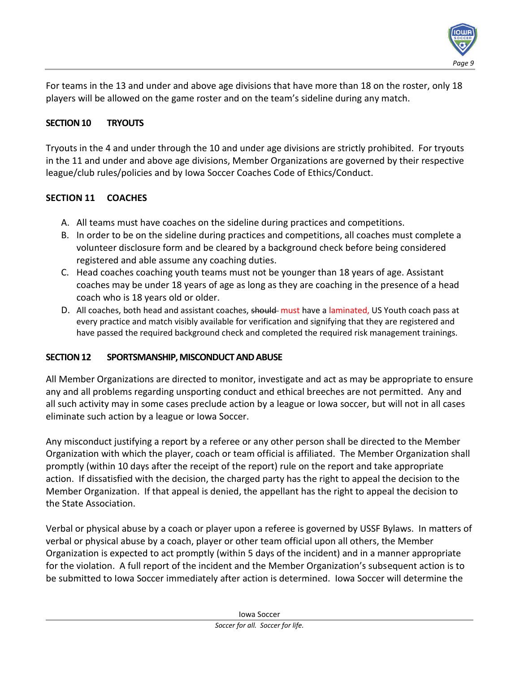

For teams in the 13 and under and above age divisions that have more than 18 on the roster, only 18 players will be allowed on the game roster and on the team's sideline during any match.

#### **SECTION 10 TRYOUTS**

Tryouts in the 4 and under through the 10 and under age divisions are strictly prohibited. For tryouts in the 11 and under and above age divisions, Member Organizations are governed by their respective league/club rules/policies and by Iowa Soccer Coaches Code of Ethics/Conduct.

## **SECTION 11 COACHES**

- A. All teams must have coaches on the sideline during practices and competitions.
- B. In order to be on the sideline during practices and competitions, all coaches must complete a volunteer disclosure form and be cleared by a background check before being considered registered and able assume any coaching duties.
- C. Head coaches coaching youth teams must not be younger than 18 years of age. Assistant coaches may be under 18 years of age as long as they are coaching in the presence of a head coach who is 18 years old or older.
- D. All coaches, both head and assistant coaches, should must have a laminated, US Youth coach pass at every practice and match visibly available for verification and signifying that they are registered and have passed the required background check and completed the required risk management trainings.

#### **SECTION 12 SPORTSMANSHIP, MISCONDUCT AND ABUSE**

All Member Organizations are directed to monitor, investigate and act as may be appropriate to ensure any and all problems regarding unsporting conduct and ethical breeches are not permitted. Any and all such activity may in some cases preclude action by a league or Iowa soccer, but will not in all cases eliminate such action by a league or Iowa Soccer.

Any misconduct justifying a report by a referee or any other person shall be directed to the Member Organization with which the player, coach or team official is affiliated. The Member Organization shall promptly (within 10 days after the receipt of the report) rule on the report and take appropriate action. If dissatisfied with the decision, the charged party has the right to appeal the decision to the Member Organization. If that appeal is denied, the appellant has the right to appeal the decision to the State Association.

Verbal or physical abuse by a coach or player upon a referee is governed by USSF Bylaws. In matters of verbal or physical abuse by a coach, player or other team official upon all others, the Member Organization is expected to act promptly (within 5 days of the incident) and in a manner appropriate for the violation. A full report of the incident and the Member Organization's subsequent action is to be submitted to Iowa Soccer immediately after action is determined. Iowa Soccer will determine the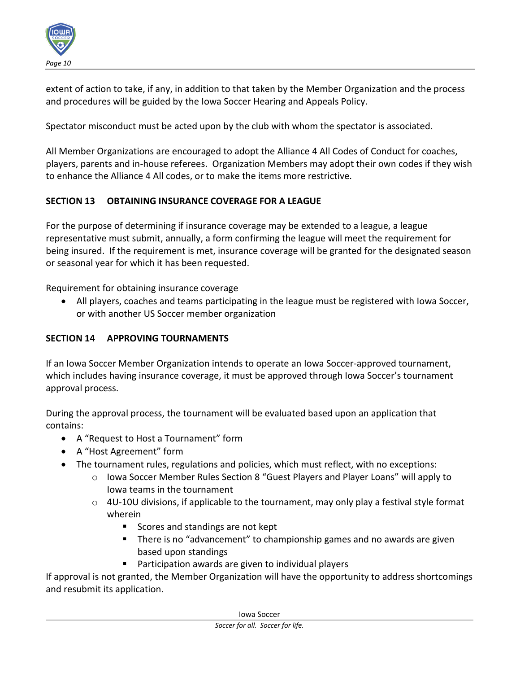

extent of action to take, if any, in addition to that taken by the Member Organization and the process and procedures will be guided by the Iowa Soccer Hearing and Appeals Policy.

Spectator misconduct must be acted upon by the club with whom the spectator is associated.

All Member Organizations are encouraged to adopt the Alliance 4 All Codes of Conduct for coaches, players, parents and in-house referees. Organization Members may adopt their own codes if they wish to enhance the Alliance 4 All codes, or to make the items more restrictive.

## **SECTION 13 OBTAINING INSURANCE COVERAGE FOR A LEAGUE**

For the purpose of determining if insurance coverage may be extended to a league, a league representative must submit, annually, a form confirming the league will meet the requirement for being insured. If the requirement is met, insurance coverage will be granted for the designated season or seasonal year for which it has been requested.

Requirement for obtaining insurance coverage

• All players, coaches and teams participating in the league must be registered with Iowa Soccer, or with another US Soccer member organization

## **SECTION 14 APPROVING TOURNAMENTS**

If an Iowa Soccer Member Organization intends to operate an Iowa Soccer-approved tournament, which includes having insurance coverage, it must be approved through Iowa Soccer's tournament approval process.

During the approval process, the tournament will be evaluated based upon an application that contains:

- A "Request to Host a Tournament" form
- A "Host Agreement" form
- The tournament rules, regulations and policies, which must reflect, with no exceptions:
	- $\circ$  Iowa Soccer Member Rules Section 8 "Guest Players and Player Loans" will apply to Iowa teams in the tournament
	- $\circ$  4U-10U divisions, if applicable to the tournament, may only play a festival style format wherein
		- Scores and standings are not kept
		- There is no "advancement" to championship games and no awards are given based upon standings
		- Participation awards are given to individual players

If approval is not granted, the Member Organization will have the opportunity to address shortcomings and resubmit its application.